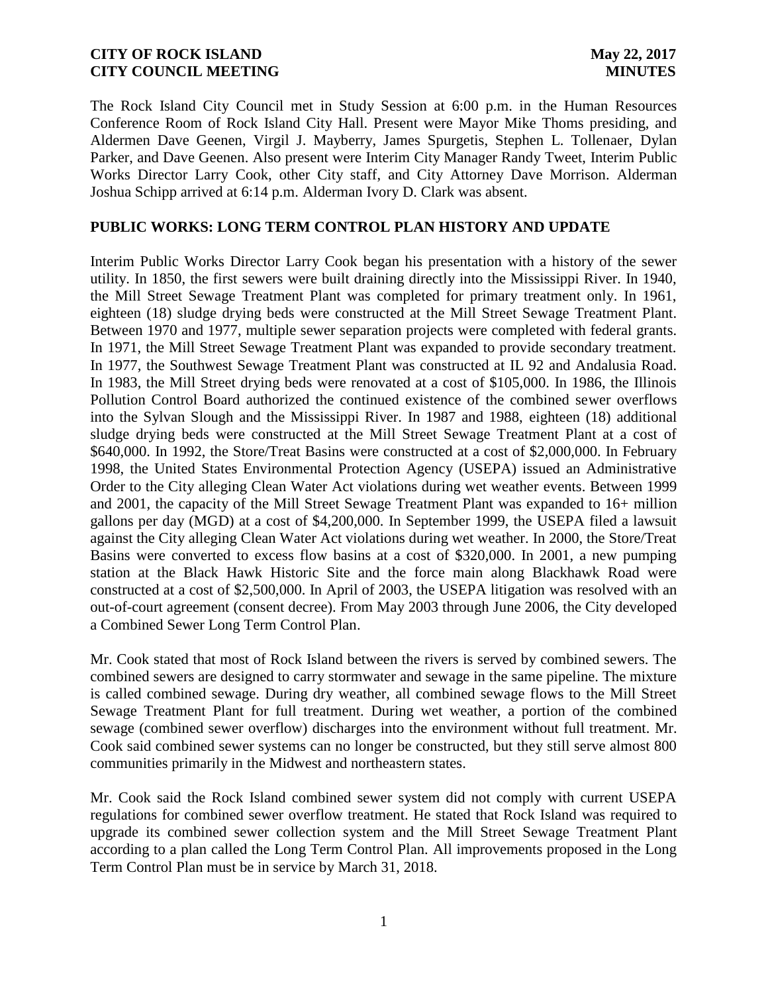The Rock Island City Council met in Study Session at 6:00 p.m. in the Human Resources Conference Room of Rock Island City Hall. Present were Mayor Mike Thoms presiding, and Aldermen Dave Geenen, Virgil J. Mayberry, James Spurgetis, Stephen L. Tollenaer, Dylan Parker, and Dave Geenen. Also present were Interim City Manager Randy Tweet, Interim Public Works Director Larry Cook, other City staff, and City Attorney Dave Morrison. Alderman Joshua Schipp arrived at 6:14 p.m. Alderman Ivory D. Clark was absent.

### **PUBLIC WORKS: LONG TERM CONTROL PLAN HISTORY AND UPDATE**

Interim Public Works Director Larry Cook began his presentation with a history of the sewer utility. In 1850, the first sewers were built draining directly into the Mississippi River. In 1940, the Mill Street Sewage Treatment Plant was completed for primary treatment only. In 1961, eighteen (18) sludge drying beds were constructed at the Mill Street Sewage Treatment Plant. Between 1970 and 1977, multiple sewer separation projects were completed with federal grants. In 1971, the Mill Street Sewage Treatment Plant was expanded to provide secondary treatment. In 1977, the Southwest Sewage Treatment Plant was constructed at IL 92 and Andalusia Road. In 1983, the Mill Street drying beds were renovated at a cost of \$105,000. In 1986, the Illinois Pollution Control Board authorized the continued existence of the combined sewer overflows into the Sylvan Slough and the Mississippi River. In 1987 and 1988, eighteen (18) additional sludge drying beds were constructed at the Mill Street Sewage Treatment Plant at a cost of \$640,000. In 1992, the Store/Treat Basins were constructed at a cost of \$2,000,000. In February 1998, the United States Environmental Protection Agency (USEPA) issued an Administrative Order to the City alleging Clean Water Act violations during wet weather events. Between 1999 and 2001, the capacity of the Mill Street Sewage Treatment Plant was expanded to 16+ million gallons per day (MGD) at a cost of \$4,200,000. In September 1999, the USEPA filed a lawsuit against the City alleging Clean Water Act violations during wet weather. In 2000, the Store/Treat Basins were converted to excess flow basins at a cost of \$320,000. In 2001, a new pumping station at the Black Hawk Historic Site and the force main along Blackhawk Road were constructed at a cost of \$2,500,000. In April of 2003, the USEPA litigation was resolved with an out-of-court agreement (consent decree). From May 2003 through June 2006, the City developed a Combined Sewer Long Term Control Plan.

Mr. Cook stated that most of Rock Island between the rivers is served by combined sewers. The combined sewers are designed to carry stormwater and sewage in the same pipeline. The mixture is called combined sewage. During dry weather, all combined sewage flows to the Mill Street Sewage Treatment Plant for full treatment. During wet weather, a portion of the combined sewage (combined sewer overflow) discharges into the environment without full treatment. Mr. Cook said combined sewer systems can no longer be constructed, but they still serve almost 800 communities primarily in the Midwest and northeastern states.

Mr. Cook said the Rock Island combined sewer system did not comply with current USEPA regulations for combined sewer overflow treatment. He stated that Rock Island was required to upgrade its combined sewer collection system and the Mill Street Sewage Treatment Plant according to a plan called the Long Term Control Plan. All improvements proposed in the Long Term Control Plan must be in service by March 31, 2018.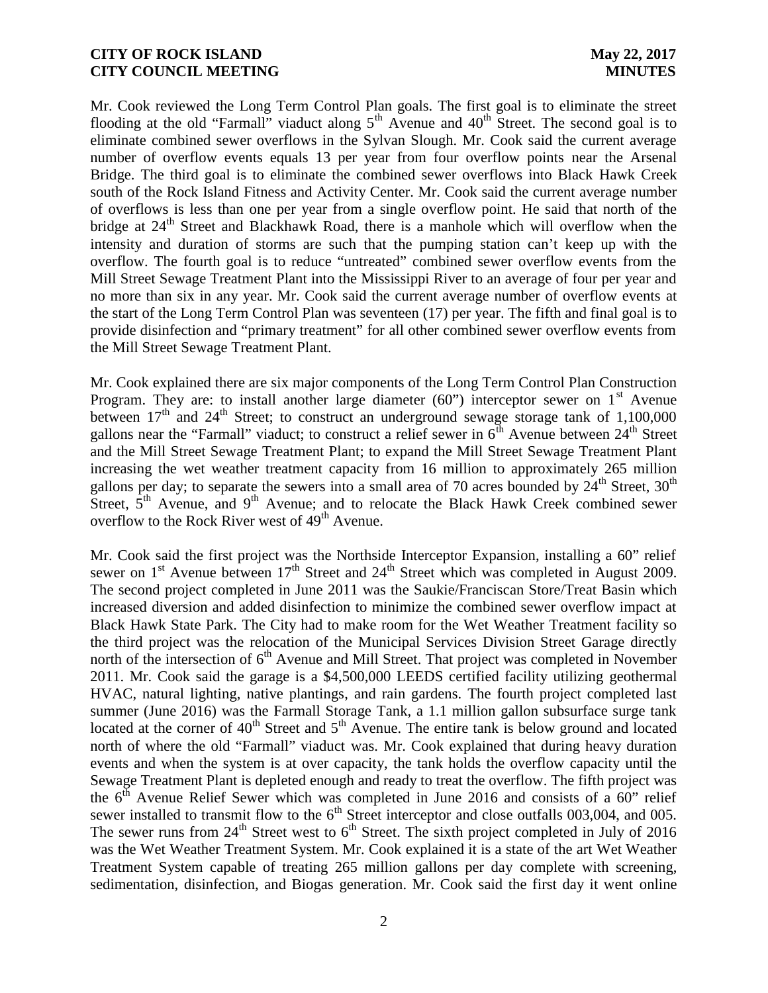Mr. Cook reviewed the Long Term Control Plan goals. The first goal is to eliminate the street flooding at the old "Farmall" viaduct along  $5<sup>th</sup>$  Avenue and  $40<sup>th</sup>$  Street. The second goal is to eliminate combined sewer overflows in the Sylvan Slough. Mr. Cook said the current average number of overflow events equals 13 per year from four overflow points near the Arsenal Bridge. The third goal is to eliminate the combined sewer overflows into Black Hawk Creek south of the Rock Island Fitness and Activity Center. Mr. Cook said the current average number of overflows is less than one per year from a single overflow point. He said that north of the bridge at 24<sup>th</sup> Street and Blackhawk Road, there is a manhole which will overflow when the intensity and duration of storms are such that the pumping station can't keep up with the overflow. The fourth goal is to reduce "untreated" combined sewer overflow events from the Mill Street Sewage Treatment Plant into the Mississippi River to an average of four per year and no more than six in any year. Mr. Cook said the current average number of overflow events at the start of the Long Term Control Plan was seventeen (17) per year. The fifth and final goal is to provide disinfection and "primary treatment" for all other combined sewer overflow events from the Mill Street Sewage Treatment Plant.

Mr. Cook explained there are six major components of the Long Term Control Plan Construction Program. They are: to install another large diameter  $(60)$  interceptor sewer on 1<sup>st</sup> Avenue between  $17<sup>th</sup>$  and  $24<sup>th</sup>$  Street; to construct an underground sewage storage tank of 1,100,000 gallons near the "Farmall" viaduct; to construct a relief sewer in  $6<sup>th</sup>$  Avenue between  $24<sup>th</sup>$  Street and the Mill Street Sewage Treatment Plant; to expand the Mill Street Sewage Treatment Plant increasing the wet weather treatment capacity from 16 million to approximately 265 million gallons per day; to separate the sewers into a small area of 70 acres bounded by  $24^{\text{th}}$  Street,  $30^{\text{th}}$ Street,  $5<sup>th</sup>$  Avenue, and  $9<sup>th</sup>$  Avenue; and to relocate the Black Hawk Creek combined sewer overflow to the Rock River west of  $49<sup>th</sup>$  Avenue.

Mr. Cook said the first project was the Northside Interceptor Expansion, installing a 60" relief sewer on  $1<sup>st</sup>$  Avenue between  $17<sup>th</sup>$  Street and  $24<sup>th</sup>$  Street which was completed in August 2009. The second project completed in June 2011 was the Saukie/Franciscan Store/Treat Basin which increased diversion and added disinfection to minimize the combined sewer overflow impact at Black Hawk State Park. The City had to make room for the Wet Weather Treatment facility so the third project was the relocation of the Municipal Services Division Street Garage directly north of the intersection of 6<sup>th</sup> Avenue and Mill Street. That project was completed in November 2011. Mr. Cook said the garage is a \$4,500,000 LEEDS certified facility utilizing geothermal HVAC, natural lighting, native plantings, and rain gardens. The fourth project completed last summer (June 2016) was the Farmall Storage Tank, a 1.1 million gallon subsurface surge tank located at the corner of  $40<sup>th</sup>$  Street and  $5<sup>th</sup>$  Avenue. The entire tank is below ground and located north of where the old "Farmall" viaduct was. Mr. Cook explained that during heavy duration events and when the system is at over capacity, the tank holds the overflow capacity until the Sewage Treatment Plant is depleted enough and ready to treat the overflow. The fifth project was the  $6<sup>th</sup>$  Avenue Relief Sewer which was completed in June 2016 and consists of a 60" relief sewer installed to transmit flow to the  $6<sup>th</sup>$  Street interceptor and close outfalls 003,004, and 005. The sewer runs from  $24^{th}$  Street west to  $6^{th}$  Street. The sixth project completed in July of 2016 was the Wet Weather Treatment System. Mr. Cook explained it is a state of the art Wet Weather Treatment System capable of treating 265 million gallons per day complete with screening, sedimentation, disinfection, and Biogas generation. Mr. Cook said the first day it went online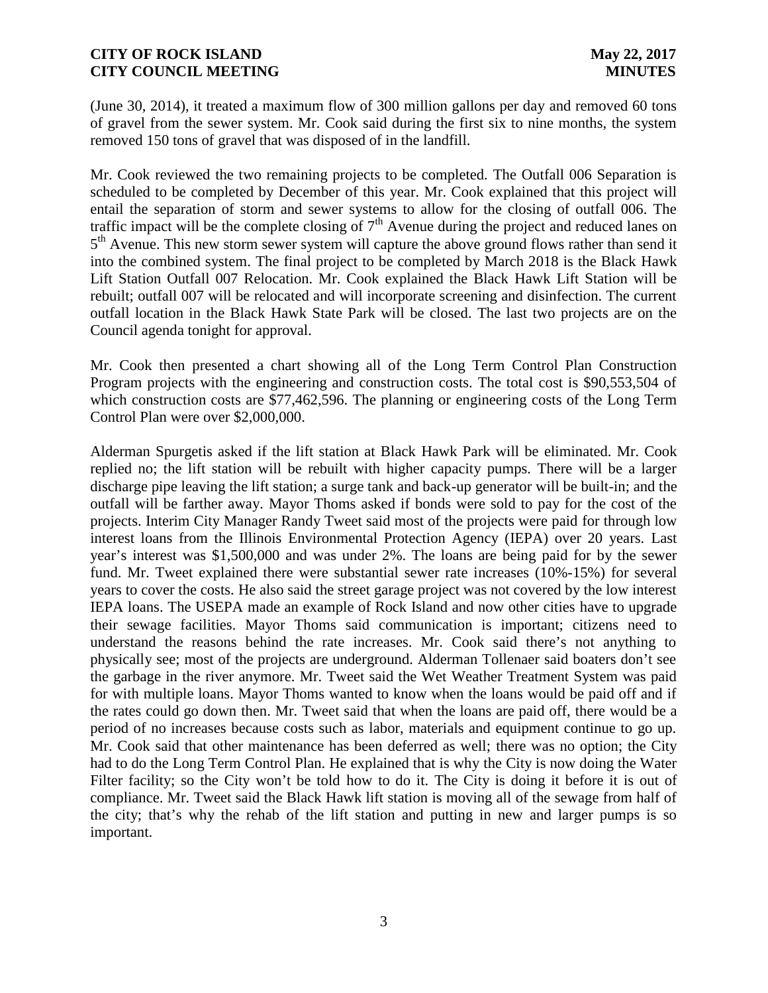(June 30, 2014), it treated a maximum flow of 300 million gallons per day and removed 60 tons of gravel from the sewer system. Mr. Cook said during the first six to nine months, the system removed 150 tons of gravel that was disposed of in the landfill.

Mr. Cook reviewed the two remaining projects to be completed. The Outfall 006 Separation is scheduled to be completed by December of this year. Mr. Cook explained that this project will entail the separation of storm and sewer systems to allow for the closing of outfall 006. The traffic impact will be the complete closing of  $7<sup>th</sup>$  Avenue during the project and reduced lanes on 5<sup>th</sup> Avenue. This new storm sewer system will capture the above ground flows rather than send it into the combined system. The final project to be completed by March 2018 is the Black Hawk Lift Station Outfall 007 Relocation. Mr. Cook explained the Black Hawk Lift Station will be rebuilt; outfall 007 will be relocated and will incorporate screening and disinfection. The current outfall location in the Black Hawk State Park will be closed. The last two projects are on the Council agenda tonight for approval.

Mr. Cook then presented a chart showing all of the Long Term Control Plan Construction Program projects with the engineering and construction costs. The total cost is \$90,553,504 of which construction costs are \$77,462,596. The planning or engineering costs of the Long Term Control Plan were over \$2,000,000.

Alderman Spurgetis asked if the lift station at Black Hawk Park will be eliminated. Mr. Cook replied no; the lift station will be rebuilt with higher capacity pumps. There will be a larger discharge pipe leaving the lift station; a surge tank and back-up generator will be built-in; and the outfall will be farther away. Mayor Thoms asked if bonds were sold to pay for the cost of the projects. Interim City Manager Randy Tweet said most of the projects were paid for through low interest loans from the Illinois Environmental Protection Agency (IEPA) over 20 years. Last year's interest was \$1,500,000 and was under 2%. The loans are being paid for by the sewer fund. Mr. Tweet explained there were substantial sewer rate increases (10%-15%) for several years to cover the costs. He also said the street garage project was not covered by the low interest IEPA loans. The USEPA made an example of Rock Island and now other cities have to upgrade their sewage facilities. Mayor Thoms said communication is important; citizens need to understand the reasons behind the rate increases. Mr. Cook said there's not anything to physically see; most of the projects are underground. Alderman Tollenaer said boaters don't see the garbage in the river anymore. Mr. Tweet said the Wet Weather Treatment System was paid for with multiple loans. Mayor Thoms wanted to know when the loans would be paid off and if the rates could go down then. Mr. Tweet said that when the loans are paid off, there would be a period of no increases because costs such as labor, materials and equipment continue to go up. Mr. Cook said that other maintenance has been deferred as well; there was no option; the City had to do the Long Term Control Plan. He explained that is why the City is now doing the Water Filter facility; so the City won't be told how to do it. The City is doing it before it is out of compliance. Mr. Tweet said the Black Hawk lift station is moving all of the sewage from half of the city; that's why the rehab of the lift station and putting in new and larger pumps is so important.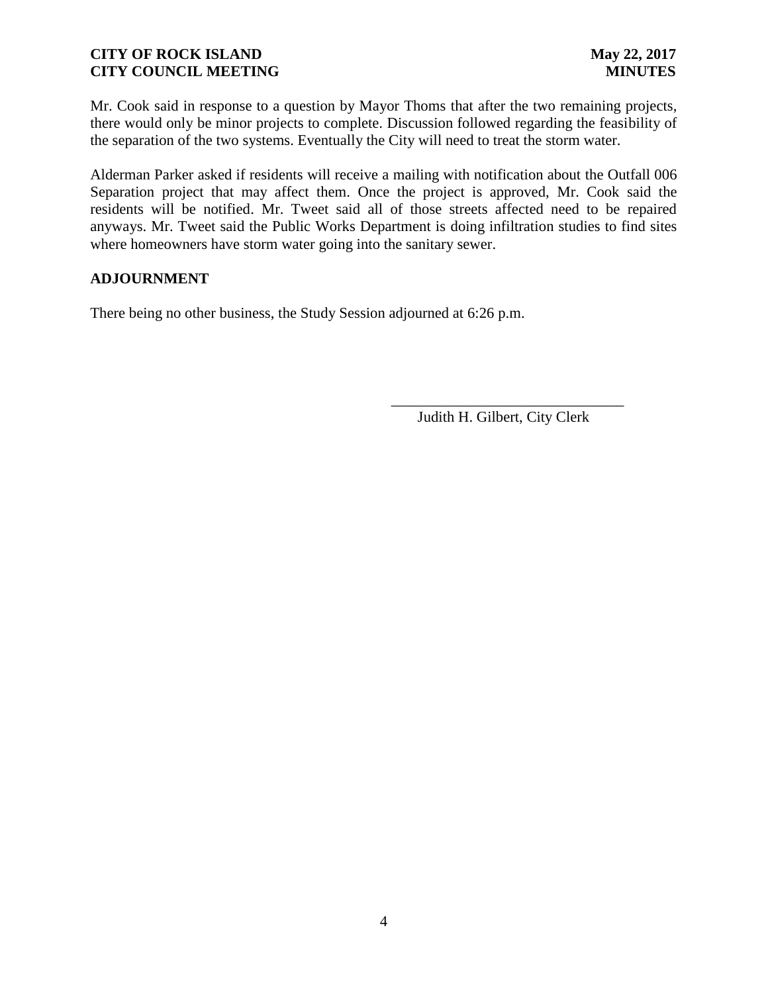Mr. Cook said in response to a question by Mayor Thoms that after the two remaining projects, there would only be minor projects to complete. Discussion followed regarding the feasibility of the separation of the two systems. Eventually the City will need to treat the storm water.

Alderman Parker asked if residents will receive a mailing with notification about the Outfall 006 Separation project that may affect them. Once the project is approved, Mr. Cook said the residents will be notified. Mr. Tweet said all of those streets affected need to be repaired anyways. Mr. Tweet said the Public Works Department is doing infiltration studies to find sites where homeowners have storm water going into the sanitary sewer.

### **ADJOURNMENT**

There being no other business, the Study Session adjourned at 6:26 p.m.

Judith H. Gilbert, City Clerk

\_\_\_\_\_\_\_\_\_\_\_\_\_\_\_\_\_\_\_\_\_\_\_\_\_\_\_\_\_\_\_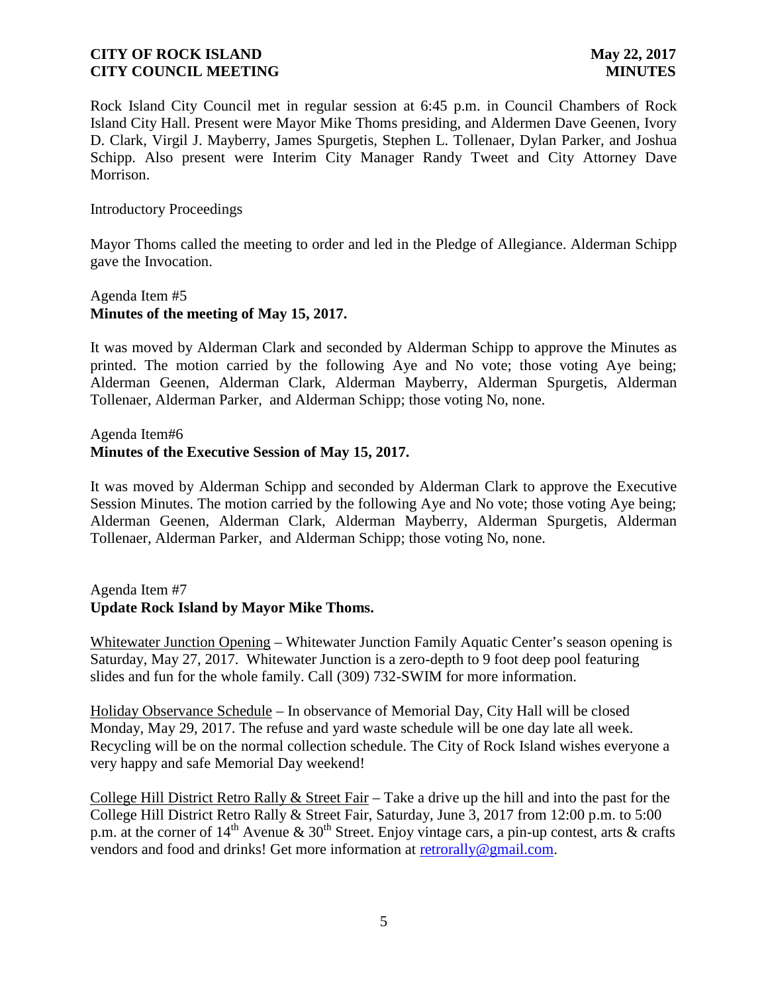Rock Island City Council met in regular session at 6:45 p.m. in Council Chambers of Rock Island City Hall. Present were Mayor Mike Thoms presiding, and Aldermen Dave Geenen, Ivory D. Clark, Virgil J. Mayberry, James Spurgetis, Stephen L. Tollenaer, Dylan Parker, and Joshua Schipp. Also present were Interim City Manager Randy Tweet and City Attorney Dave Morrison.

#### Introductory Proceedings

Mayor Thoms called the meeting to order and led in the Pledge of Allegiance. Alderman Schipp gave the Invocation.

# Agenda Item #5 **Minutes of the meeting of May 15, 2017.**

It was moved by Alderman Clark and seconded by Alderman Schipp to approve the Minutes as printed. The motion carried by the following Aye and No vote; those voting Aye being; Alderman Geenen, Alderman Clark, Alderman Mayberry, Alderman Spurgetis, Alderman Tollenaer, Alderman Parker, and Alderman Schipp; those voting No, none.

Agenda Item#6

### **Minutes of the Executive Session of May 15, 2017.**

It was moved by Alderman Schipp and seconded by Alderman Clark to approve the Executive Session Minutes. The motion carried by the following Aye and No vote; those voting Aye being; Alderman Geenen, Alderman Clark, Alderman Mayberry, Alderman Spurgetis, Alderman Tollenaer, Alderman Parker, and Alderman Schipp; those voting No, none.

# Agenda Item #7 **Update Rock Island by Mayor Mike Thoms.**

Whitewater Junction Opening – Whitewater Junction Family Aquatic Center's season opening is Saturday, May 27, 2017. Whitewater Junction is a zero-depth to 9 foot deep pool featuring slides and fun for the whole family. Call (309) 732-SWIM for more information.

Holiday Observance Schedule – In observance of Memorial Day, City Hall will be closed Monday, May 29, 2017. The refuse and yard waste schedule will be one day late all week. Recycling will be on the normal collection schedule. The City of Rock Island wishes everyone a very happy and safe Memorial Day weekend!

College Hill District Retro Rally  $\&$  Street Fair – Take a drive up the hill and into the past for the College Hill District Retro Rally & Street Fair, Saturday, June 3, 2017 from 12:00 p.m. to 5:00 p.m. at the corner of  $14<sup>th</sup>$  Avenue & 30<sup>th</sup> Street. Enjoy vintage cars, a pin-up contest, arts & crafts vendors and food and drinks! Get more information at retrorally@gmail.com.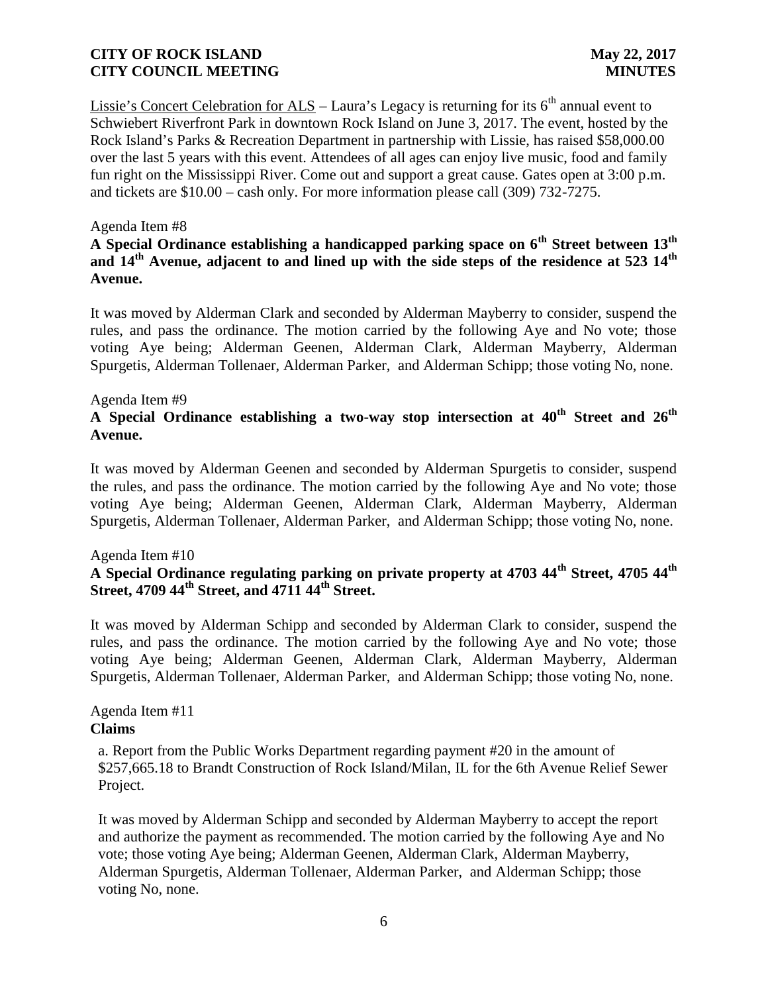Lissie's Concert Celebration for  $ALS$  – Laura's Legacy is returning for its  $6<sup>th</sup>$  annual event to Schwiebert Riverfront Park in downtown Rock Island on June 3, 2017. The event, hosted by the Rock Island's Parks & Recreation Department in partnership with Lissie, has raised \$58,000.00 over the last 5 years with this event. Attendees of all ages can enjoy live music, food and family fun right on the Mississippi River. Come out and support a great cause. Gates open at 3:00 p.m. and tickets are \$10.00 – cash only. For more information please call (309) 732-7275.

### Agenda Item #8

# **A Special Ordinance establishing a handicapped parking space on 6th Street between 13th and 14th Avenue, adjacent to and lined up with the side steps of the residence at 523 14th Avenue.**

It was moved by Alderman Clark and seconded by Alderman Mayberry to consider, suspend the rules, and pass the ordinance. The motion carried by the following Aye and No vote; those voting Aye being; Alderman Geenen, Alderman Clark, Alderman Mayberry, Alderman Spurgetis, Alderman Tollenaer, Alderman Parker, and Alderman Schipp; those voting No, none.

#### Agenda Item #9

# **A Special Ordinance establishing a two-way stop intersection at 40th Street and 26th Avenue.**

It was moved by Alderman Geenen and seconded by Alderman Spurgetis to consider, suspend the rules, and pass the ordinance. The motion carried by the following Aye and No vote; those voting Aye being; Alderman Geenen, Alderman Clark, Alderman Mayberry, Alderman Spurgetis, Alderman Tollenaer, Alderman Parker, and Alderman Schipp; those voting No, none.

#### Agenda Item #10

# **A Special Ordinance regulating parking on private property at 4703 44th Street, 4705 44th Street, 4709 44th Street, and 4711 44th Street.**

It was moved by Alderman Schipp and seconded by Alderman Clark to consider, suspend the rules, and pass the ordinance. The motion carried by the following Aye and No vote; those voting Aye being; Alderman Geenen, Alderman Clark, Alderman Mayberry, Alderman Spurgetis, Alderman Tollenaer, Alderman Parker, and Alderman Schipp; those voting No, none.

### Agenda Item #11 **Claims**

a. Report from the Public Works Department regarding payment #20 in the amount of \$257,665.18 to Brandt Construction of Rock Island/Milan, IL for the 6th Avenue Relief Sewer Project.

It was moved by Alderman Schipp and seconded by Alderman Mayberry to accept the report and authorize the payment as recommended. The motion carried by the following Aye and No vote; those voting Aye being; Alderman Geenen, Alderman Clark, Alderman Mayberry, Alderman Spurgetis, Alderman Tollenaer, Alderman Parker, and Alderman Schipp; those voting No, none.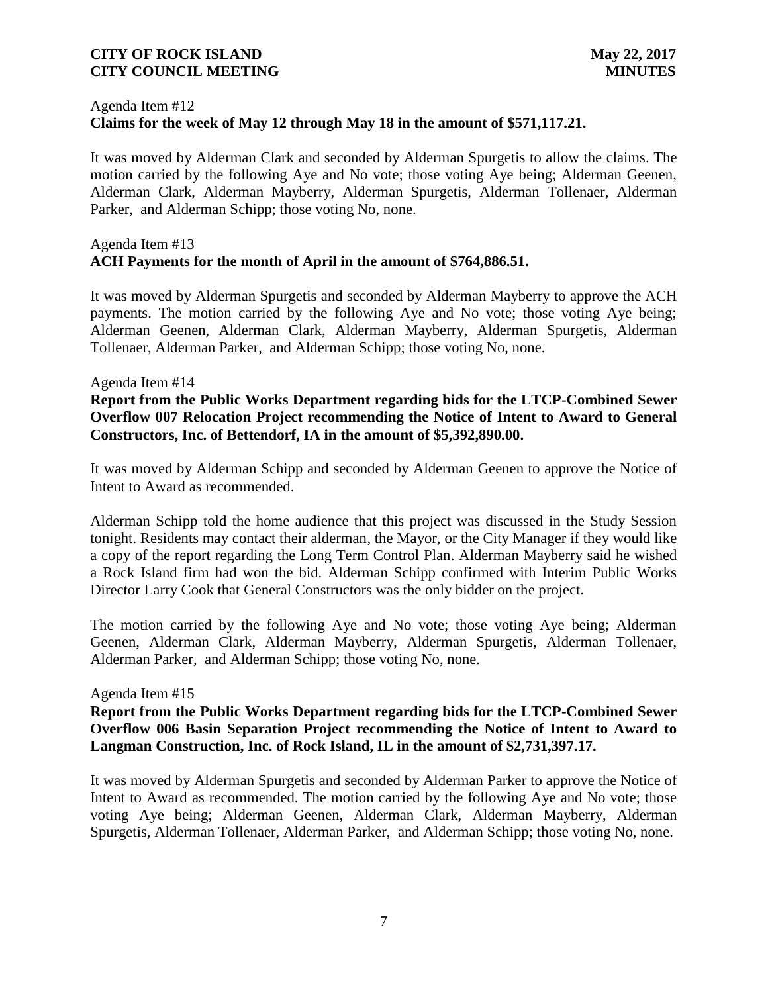# Agenda Item #12 **Claims for the week of May 12 through May 18 in the amount of \$571,117.21.**

It was moved by Alderman Clark and seconded by Alderman Spurgetis to allow the claims. The motion carried by the following Aye and No vote; those voting Aye being; Alderman Geenen, Alderman Clark, Alderman Mayberry, Alderman Spurgetis, Alderman Tollenaer, Alderman Parker, and Alderman Schipp; those voting No, none.

### Agenda Item #13 **ACH Payments for the month of April in the amount of \$764,886.51.**

It was moved by Alderman Spurgetis and seconded by Alderman Mayberry to approve the ACH payments. The motion carried by the following Aye and No vote; those voting Aye being; Alderman Geenen, Alderman Clark, Alderman Mayberry, Alderman Spurgetis, Alderman Tollenaer, Alderman Parker, and Alderman Schipp; those voting No, none.

### Agenda Item #14

# **Report from the Public Works Department regarding bids for the LTCP-Combined Sewer Overflow 007 Relocation Project recommending the Notice of Intent to Award to General Constructors, Inc. of Bettendorf, IA in the amount of \$5,392,890.00.**

It was moved by Alderman Schipp and seconded by Alderman Geenen to approve the Notice of Intent to Award as recommended.

Alderman Schipp told the home audience that this project was discussed in the Study Session tonight. Residents may contact their alderman, the Mayor, or the City Manager if they would like a copy of the report regarding the Long Term Control Plan. Alderman Mayberry said he wished a Rock Island firm had won the bid. Alderman Schipp confirmed with Interim Public Works Director Larry Cook that General Constructors was the only bidder on the project.

The motion carried by the following Aye and No vote; those voting Aye being; Alderman Geenen, Alderman Clark, Alderman Mayberry, Alderman Spurgetis, Alderman Tollenaer, Alderman Parker, and Alderman Schipp; those voting No, none.

#### Agenda Item #15

### **Report from the Public Works Department regarding bids for the LTCP-Combined Sewer Overflow 006 Basin Separation Project recommending the Notice of Intent to Award to Langman Construction, Inc. of Rock Island, IL in the amount of \$2,731,397.17.**

It was moved by Alderman Spurgetis and seconded by Alderman Parker to approve the Notice of Intent to Award as recommended. The motion carried by the following Aye and No vote; those voting Aye being; Alderman Geenen, Alderman Clark, Alderman Mayberry, Alderman Spurgetis, Alderman Tollenaer, Alderman Parker, and Alderman Schipp; those voting No, none.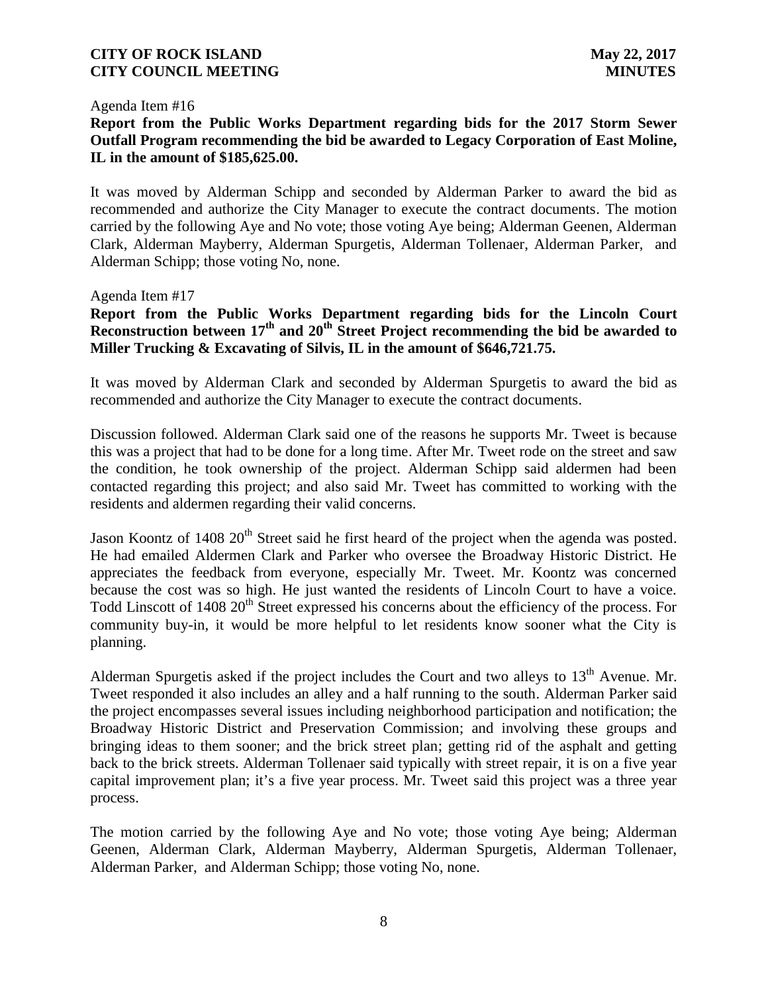#### Agenda Item #16

# **Report from the Public Works Department regarding bids for the 2017 Storm Sewer Outfall Program recommending the bid be awarded to Legacy Corporation of East Moline, IL in the amount of \$185,625.00.**

It was moved by Alderman Schipp and seconded by Alderman Parker to award the bid as recommended and authorize the City Manager to execute the contract documents. The motion carried by the following Aye and No vote; those voting Aye being; Alderman Geenen, Alderman Clark, Alderman Mayberry, Alderman Spurgetis, Alderman Tollenaer, Alderman Parker, and Alderman Schipp; those voting No, none.

#### Agenda Item #17

# **Report from the Public Works Department regarding bids for the Lincoln Court Reconstruction between 17th and 20th Street Project recommending the bid be awarded to Miller Trucking & Excavating of Silvis, IL in the amount of \$646,721.75.**

It was moved by Alderman Clark and seconded by Alderman Spurgetis to award the bid as recommended and authorize the City Manager to execute the contract documents.

Discussion followed. Alderman Clark said one of the reasons he supports Mr. Tweet is because this was a project that had to be done for a long time. After Mr. Tweet rode on the street and saw the condition, he took ownership of the project. Alderman Schipp said aldermen had been contacted regarding this project; and also said Mr. Tweet has committed to working with the residents and aldermen regarding their valid concerns.

Jason Koontz of 1408 20<sup>th</sup> Street said he first heard of the project when the agenda was posted. He had emailed Aldermen Clark and Parker who oversee the Broadway Historic District. He appreciates the feedback from everyone, especially Mr. Tweet. Mr. Koontz was concerned because the cost was so high. He just wanted the residents of Lincoln Court to have a voice. Todd Linscott of 1408 20<sup>th</sup> Street expressed his concerns about the efficiency of the process. For community buy-in, it would be more helpful to let residents know sooner what the City is planning.

Alderman Spurgetis asked if the project includes the Court and two alleys to  $13<sup>th</sup>$  Avenue. Mr. Tweet responded it also includes an alley and a half running to the south. Alderman Parker said the project encompasses several issues including neighborhood participation and notification; the Broadway Historic District and Preservation Commission; and involving these groups and bringing ideas to them sooner; and the brick street plan; getting rid of the asphalt and getting back to the brick streets. Alderman Tollenaer said typically with street repair, it is on a five year capital improvement plan; it's a five year process. Mr. Tweet said this project was a three year process.

The motion carried by the following Aye and No vote; those voting Aye being; Alderman Geenen, Alderman Clark, Alderman Mayberry, Alderman Spurgetis, Alderman Tollenaer, Alderman Parker, and Alderman Schipp; those voting No, none.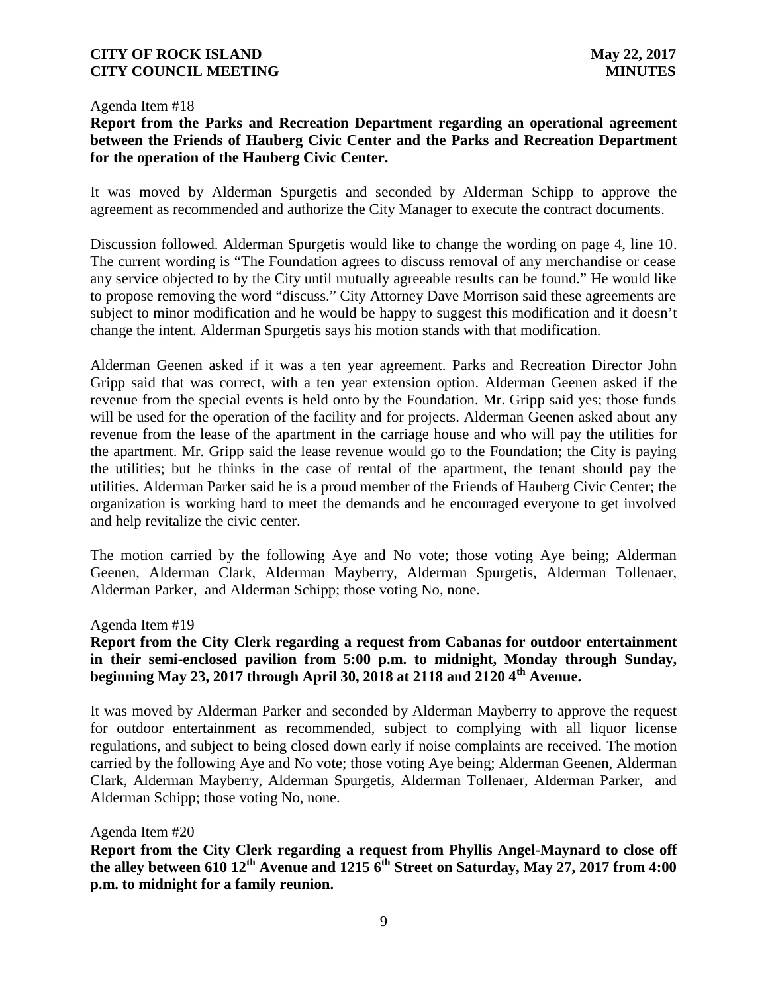#### Agenda Item #18

### **Report from the Parks and Recreation Department regarding an operational agreement between the Friends of Hauberg Civic Center and the Parks and Recreation Department for the operation of the Hauberg Civic Center.**

It was moved by Alderman Spurgetis and seconded by Alderman Schipp to approve the agreement as recommended and authorize the City Manager to execute the contract documents.

Discussion followed. Alderman Spurgetis would like to change the wording on page 4, line 10. The current wording is "The Foundation agrees to discuss removal of any merchandise or cease any service objected to by the City until mutually agreeable results can be found." He would like to propose removing the word "discuss." City Attorney Dave Morrison said these agreements are subject to minor modification and he would be happy to suggest this modification and it doesn't change the intent. Alderman Spurgetis says his motion stands with that modification.

Alderman Geenen asked if it was a ten year agreement. Parks and Recreation Director John Gripp said that was correct, with a ten year extension option. Alderman Geenen asked if the revenue from the special events is held onto by the Foundation. Mr. Gripp said yes; those funds will be used for the operation of the facility and for projects. Alderman Geenen asked about any revenue from the lease of the apartment in the carriage house and who will pay the utilities for the apartment. Mr. Gripp said the lease revenue would go to the Foundation; the City is paying the utilities; but he thinks in the case of rental of the apartment, the tenant should pay the utilities. Alderman Parker said he is a proud member of the Friends of Hauberg Civic Center; the organization is working hard to meet the demands and he encouraged everyone to get involved and help revitalize the civic center.

The motion carried by the following Aye and No vote; those voting Aye being; Alderman Geenen, Alderman Clark, Alderman Mayberry, Alderman Spurgetis, Alderman Tollenaer, Alderman Parker, and Alderman Schipp; those voting No, none.

Agenda Item #19

# **Report from the City Clerk regarding a request from Cabanas for outdoor entertainment in their semi-enclosed pavilion from 5:00 p.m. to midnight, Monday through Sunday, beginning May 23, 2017 through April 30, 2018 at 2118 and 2120 4th Avenue.**

It was moved by Alderman Parker and seconded by Alderman Mayberry to approve the request for outdoor entertainment as recommended, subject to complying with all liquor license regulations, and subject to being closed down early if noise complaints are received. The motion carried by the following Aye and No vote; those voting Aye being; Alderman Geenen, Alderman Clark, Alderman Mayberry, Alderman Spurgetis, Alderman Tollenaer, Alderman Parker, and Alderman Schipp; those voting No, none.

### Agenda Item #20

**Report from the City Clerk regarding a request from Phyllis Angel-Maynard to close off the alley between 610 12th Avenue and 1215 6th Street on Saturday, May 27, 2017 from 4:00 p.m. to midnight for a family reunion.**